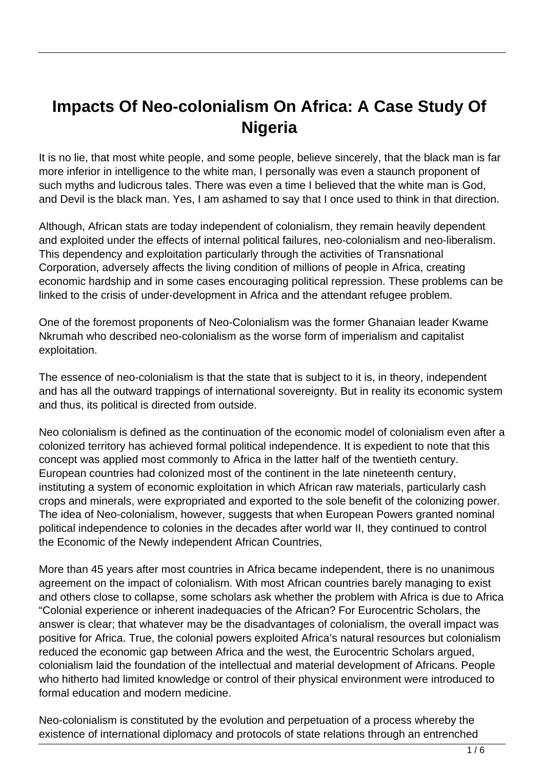# **Impacts Of Neo-colonialism On Africa: A Case Study Of Nigeria**

It is no lie, that most white people, and some people, believe sincerely, that the black man is far more inferior in intelligence to the white man, I personally was even a staunch proponent of such myths and ludicrous tales. There was even a time I believed that the white man is God, and Devil is the black man. Yes, I am ashamed to say that I once used to think in that direction.

Although, African stats are today independent of colonialism, they remain heavily dependent and exploited under the effects of internal political failures, neo-colonialism and neo-liberalism. This dependency and exploitation particularly through the activities of Transnational Corporation, adversely affects the living condition of millions of people in Africa, creating economic hardship and in some cases encouraging political repression. These problems can be linked to the crisis of under-development in Africa and the attendant refugee problem.

One of the foremost proponents of Neo-Colonialism was the former Ghanaian leader Kwame Nkrumah who described neo-colonialism as the worse form of imperialism and capitalist exploitation.

The essence of neo-colonialism is that the state that is subject to it is, in theory, independent and has all the outward trappings of international sovereignty. But in reality its economic system and thus, its political is directed from outside.

Neo colonialism is defined as the continuation of the economic model of colonialism even after a colonized territory has achieved formal political independence. It is expedient to note that this concept was applied most commonly to Africa in the latter half of the twentieth century. European countries had colonized most of the continent in the late nineteenth century, instituting a system of economic exploitation in which African raw materials, particularly cash crops and minerals, were expropriated and exported to the sole benefit of the colonizing power. The idea of Neo-colonialism, however, suggests that when European Powers granted nominal political independence to colonies in the decades after world war II, they continued to control the Economic of the Newly independent African Countries,

More than 45 years after most countries in Africa became independent, there is no unanimous agreement on the impact of colonialism. With most African countries barely managing to exist and others close to collapse, some scholars ask whether the problem with Africa is due to Africa "Colonial experience or inherent inadequacies of the African? For Eurocentric Scholars, the answer is clear; that whatever may be the disadvantages of colonialism, the overall impact was positive for Africa. True, the colonial powers exploited Africa's natural resources but colonialism reduced the economic gap between Africa and the west, the Eurocentric Scholars argued, colonialism laid the foundation of the intellectual and material development of Africans. People who hitherto had limited knowledge or control of their physical environment were introduced to formal education and modern medicine.

Neo-colonialism is constituted by the evolution and perpetuation of a process whereby the existence of international diplomacy and protocols of state relations through an entrenched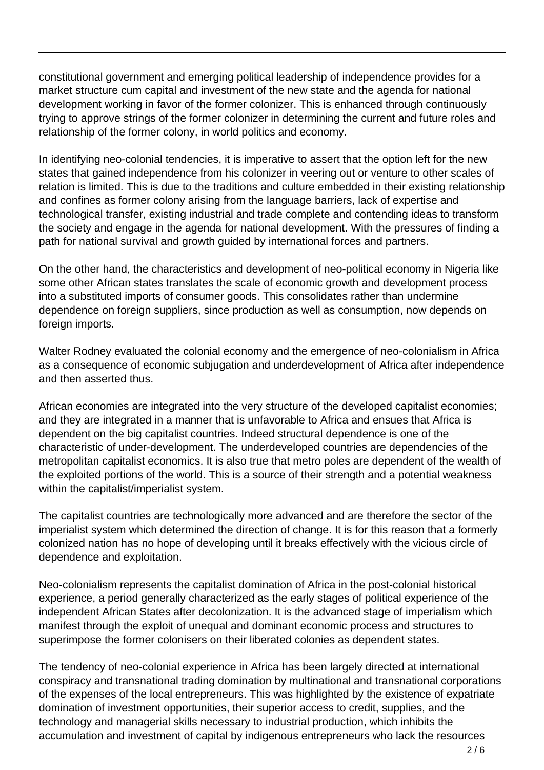constitutional government and emerging political leadership of independence provides for a market structure cum capital and investment of the new state and the agenda for national development working in favor of the former colonizer. This is enhanced through continuously trying to approve strings of the former colonizer in determining the current and future roles and relationship of the former colony, in world politics and economy.

In identifying neo-colonial tendencies, it is imperative to assert that the option left for the new states that gained independence from his colonizer in veering out or venture to other scales of relation is limited. This is due to the traditions and culture embedded in their existing relationship and confines as former colony arising from the language barriers, lack of expertise and technological transfer, existing industrial and trade complete and contending ideas to transform the society and engage in the agenda for national development. With the pressures of finding a path for national survival and growth guided by international forces and partners.

On the other hand, the characteristics and development of neo-political economy in Nigeria like some other African states translates the scale of economic growth and development process into a substituted imports of consumer goods. This consolidates rather than undermine dependence on foreign suppliers, since production as well as consumption, now depends on foreign imports.

Walter Rodney evaluated the colonial economy and the emergence of neo-colonialism in Africa as a consequence of economic subjugation and underdevelopment of Africa after independence and then asserted thus.

African economies are integrated into the very structure of the developed capitalist economies; and they are integrated in a manner that is unfavorable to Africa and ensues that Africa is dependent on the big capitalist countries. Indeed structural dependence is one of the characteristic of under-development. The underdeveloped countries are dependencies of the metropolitan capitalist economics. It is also true that metro poles are dependent of the wealth of the exploited portions of the world. This is a source of their strength and a potential weakness within the capitalist/imperialist system.

The capitalist countries are technologically more advanced and are therefore the sector of the imperialist system which determined the direction of change. It is for this reason that a formerly colonized nation has no hope of developing until it breaks effectively with the vicious circle of dependence and exploitation.

Neo-colonialism represents the capitalist domination of Africa in the post-colonial historical experience, a period generally characterized as the early stages of political experience of the independent African States after decolonization. It is the advanced stage of imperialism which manifest through the exploit of unequal and dominant economic process and structures to superimpose the former colonisers on their liberated colonies as dependent states.

The tendency of neo-colonial experience in Africa has been largely directed at international conspiracy and transnational trading domination by multinational and transnational corporations of the expenses of the local entrepreneurs. This was highlighted by the existence of expatriate domination of investment opportunities, their superior access to credit, supplies, and the technology and managerial skills necessary to industrial production, which inhibits the accumulation and investment of capital by indigenous entrepreneurs who lack the resources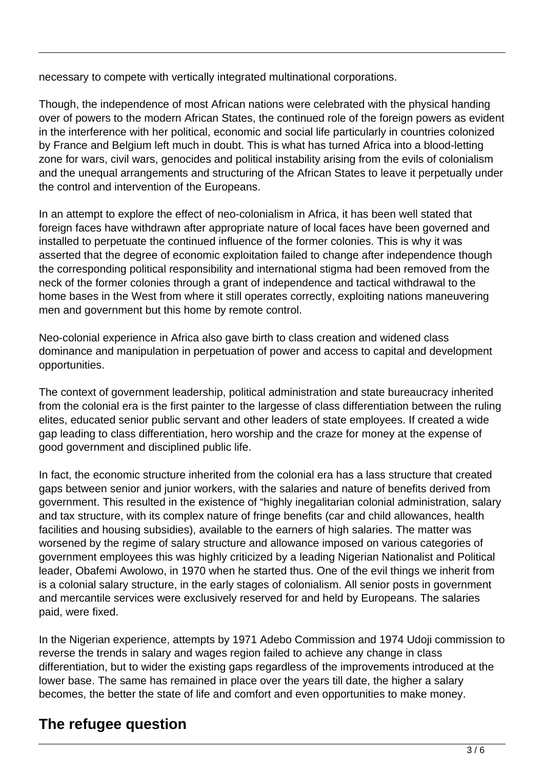necessary to compete with vertically integrated multinational corporations.

Though, the independence of most African nations were celebrated with the physical handing over of powers to the modern African States, the continued role of the foreign powers as evident in the interference with her political, economic and social life particularly in countries colonized by France and Belgium left much in doubt. This is what has turned Africa into a blood-letting zone for wars, civil wars, genocides and political instability arising from the evils of colonialism and the unequal arrangements and structuring of the African States to leave it perpetually under the control and intervention of the Europeans.

In an attempt to explore the effect of neo-colonialism in Africa, it has been well stated that foreign faces have withdrawn after appropriate nature of local faces have been governed and installed to perpetuate the continued influence of the former colonies. This is why it was asserted that the degree of economic exploitation failed to change after independence though the corresponding political responsibility and international stigma had been removed from the neck of the former colonies through a grant of independence and tactical withdrawal to the home bases in the West from where it still operates correctly, exploiting nations maneuvering men and government but this home by remote control.

Neo-colonial experience in Africa also gave birth to class creation and widened class dominance and manipulation in perpetuation of power and access to capital and development opportunities.

The context of government leadership, political administration and state bureaucracy inherited from the colonial era is the first painter to the largesse of class differentiation between the ruling elites, educated senior public servant and other leaders of state employees. If created a wide gap leading to class differentiation, hero worship and the craze for money at the expense of good government and disciplined public life.

In fact, the economic structure inherited from the colonial era has a lass structure that created gaps between senior and junior workers, with the salaries and nature of benefits derived from government. This resulted in the existence of "highly inegalitarian colonial administration, salary and tax structure, with its complex nature of fringe benefits (car and child allowances, health facilities and housing subsidies), available to the earners of high salaries. The matter was worsened by the regime of salary structure and allowance imposed on various categories of government employees this was highly criticized by a leading Nigerian Nationalist and Political leader, Obafemi Awolowo, in 1970 when he started thus. One of the evil things we inherit from is a colonial salary structure, in the early stages of colonialism. All senior posts in government and mercantile services were exclusively reserved for and held by Europeans. The salaries paid, were fixed.

In the Nigerian experience, attempts by 1971 Adebo Commission and 1974 Udoji commission to reverse the trends in salary and wages region failed to achieve any change in class differentiation, but to wider the existing gaps regardless of the improvements introduced at the lower base. The same has remained in place over the years till date, the higher a salary becomes, the better the state of life and comfort and even opportunities to make money.

## **The refugee question**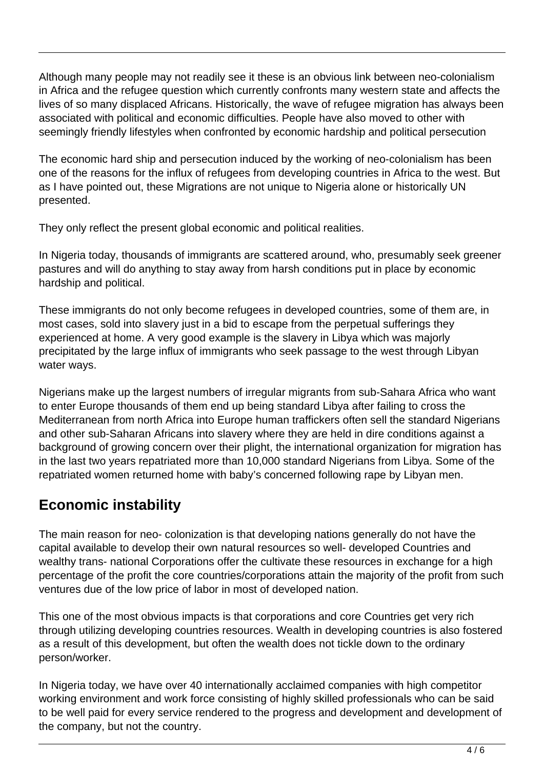Although many people may not readily see it these is an obvious link between neo-colonialism in Africa and the refugee question which currently confronts many western state and affects the lives of so many displaced Africans. Historically, the wave of refugee migration has always been associated with political and economic difficulties. People have also moved to other with seemingly friendly lifestyles when confronted by economic hardship and political persecution

The economic hard ship and persecution induced by the working of neo-colonialism has been one of the reasons for the influx of refugees from developing countries in Africa to the west. But as I have pointed out, these Migrations are not unique to Nigeria alone or historically UN presented.

They only reflect the present global economic and political realities.

In Nigeria today, thousands of immigrants are scattered around, who, presumably seek greener pastures and will do anything to stay away from harsh conditions put in place by economic hardship and political.

These immigrants do not only become refugees in developed countries, some of them are, in most cases, sold into slavery just in a bid to escape from the perpetual sufferings they experienced at home. A very good example is the slavery in Libya which was majorly precipitated by the large influx of immigrants who seek passage to the west through Libyan water ways.

Nigerians make up the largest numbers of irregular migrants from sub-Sahara Africa who want to enter Europe thousands of them end up being standard Libya after failing to cross the Mediterranean from north Africa into Europe human traffickers often sell the standard Nigerians and other sub-Saharan Africans into slavery where they are held in dire conditions against a background of growing concern over their plight, the international organization for migration has in the last two years repatriated more than 10,000 standard Nigerians from Libya. Some of the repatriated women returned home with baby's concerned following rape by Libyan men.

### **Economic instability**

The main reason for neo- colonization is that developing nations generally do not have the capital available to develop their own natural resources so well- developed Countries and wealthy trans- national Corporations offer the cultivate these resources in exchange for a high percentage of the profit the core countries/corporations attain the majority of the profit from such ventures due of the low price of labor in most of developed nation.

This one of the most obvious impacts is that corporations and core Countries get very rich through utilizing developing countries resources. Wealth in developing countries is also fostered as a result of this development, but often the wealth does not tickle down to the ordinary person/worker.

In Nigeria today, we have over 40 internationally acclaimed companies with high competitor working environment and work force consisting of highly skilled professionals who can be said to be well paid for every service rendered to the progress and development and development of the company, but not the country.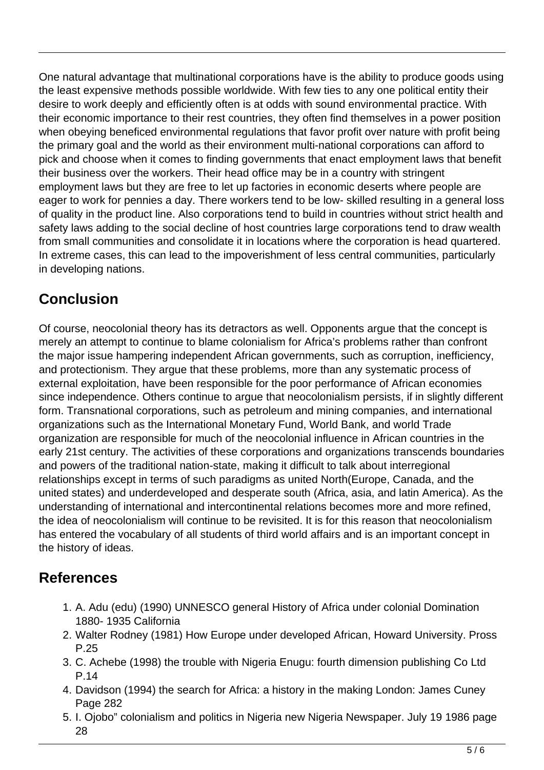One natural advantage that multinational corporations have is the ability to produce goods using the least expensive methods possible worldwide. With few ties to any one political entity their desire to work deeply and efficiently often is at odds with sound environmental practice. With their economic importance to their rest countries, they often find themselves in a power position when obeying beneficed environmental regulations that favor profit over nature with profit being the primary goal and the world as their environment multi-national corporations can afford to pick and choose when it comes to finding governments that enact employment laws that benefit their business over the workers. Their head office may be in a country with stringent employment laws but they are free to let up factories in economic deserts where people are eager to work for pennies a day. There workers tend to be low- skilled resulting in a general loss of quality in the product line. Also corporations tend to build in countries without strict health and safety laws adding to the social decline of host countries large corporations tend to draw wealth from small communities and consolidate it in locations where the corporation is head quartered. In extreme cases, this can lead to the impoverishment of less central communities, particularly in developing nations.

## **Conclusion**

Of course, neocolonial theory has its detractors as well. Opponents argue that the concept is merely an attempt to continue to blame colonialism for Africa's problems rather than confront the major issue hampering independent African governments, such as corruption, inefficiency, and protectionism. They argue that these problems, more than any systematic process of external exploitation, have been responsible for the poor performance of African economies since independence. Others continue to argue that neocolonialism persists, if in slightly different form. Transnational corporations, such as petroleum and mining companies, and international organizations such as the International Monetary Fund, World Bank, and world Trade organization are responsible for much of the neocolonial influence in African countries in the early 21st century. The activities of these corporations and organizations transcends boundaries and powers of the traditional nation-state, making it difficult to talk about interregional relationships except in terms of such paradigms as united North(Europe, Canada, and the united states) and underdeveloped and desperate south (Africa, asia, and latin America). As the understanding of international and intercontinental relations becomes more and more refined, the idea of neocolonialism will continue to be revisited. It is for this reason that neocolonialism has entered the vocabulary of all students of third world affairs and is an important concept in the history of ideas.

### **References**

- 1. A. Adu (edu) (1990) UNNESCO general History of Africa under colonial Domination 1880- 1935 California
- 2. Walter Rodney (1981) How Europe under developed African, Howard University. Pross P.25
- 3. C. Achebe (1998) the trouble with Nigeria Enugu: fourth dimension publishing Co Ltd P.14
- 4. Davidson (1994) the search for Africa: a history in the making London: James Cuney Page 282
- 5. I. Ojobo" colonialism and politics in Nigeria new Nigeria Newspaper. July 19 1986 page 28